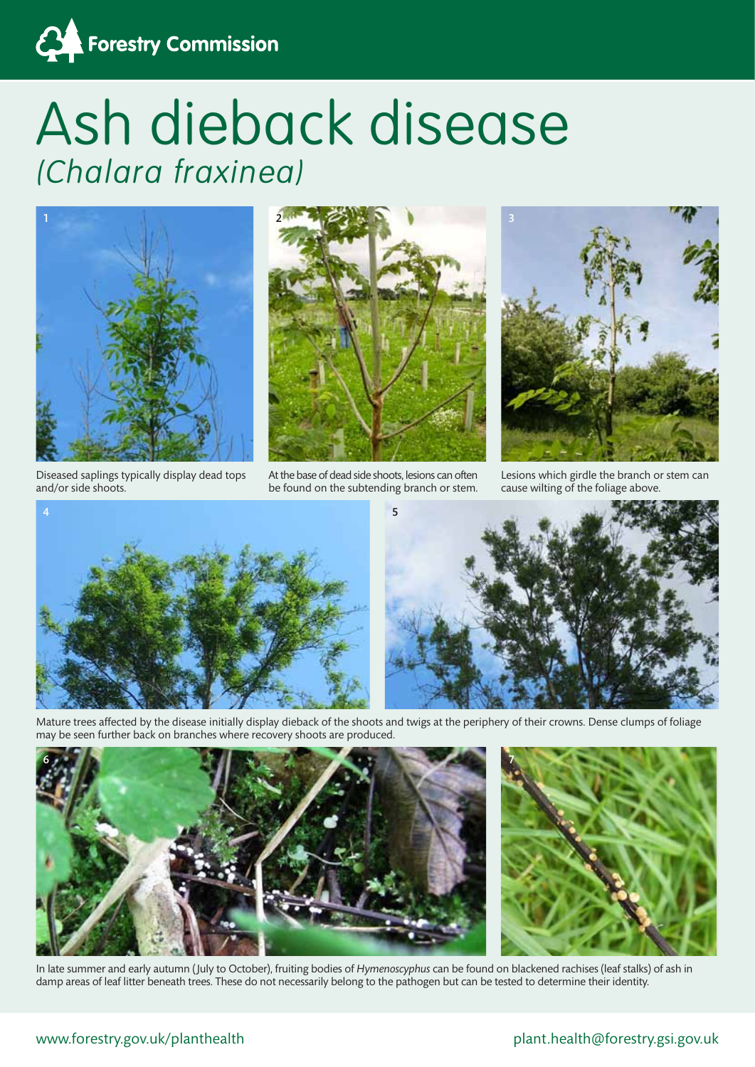

## Ash dieback disease (Chalara fraxinea)



Diseased saplings typically display dead tops and/or side shoots.



At the base of dead side shoots, lesions can often be found on the subtending branch or stem.



Lesions which girdle the branch or stem can cause wilting of the foliage above.





Mature trees affected by the disease initially display dieback of the shoots and twigs at the periphery of their crowns. Dense clumps of foliage may be seen further back on branches where recovery shoots are produced.





In late summer and early autumn ( July to October), fruiting bodies of *Hymenoscyphus* can be found on blackened rachises (leaf stalks) of ash in damp areas of leaf litter beneath trees. These do not necessarily belong to the pathogen but can be tested to determine their identity.